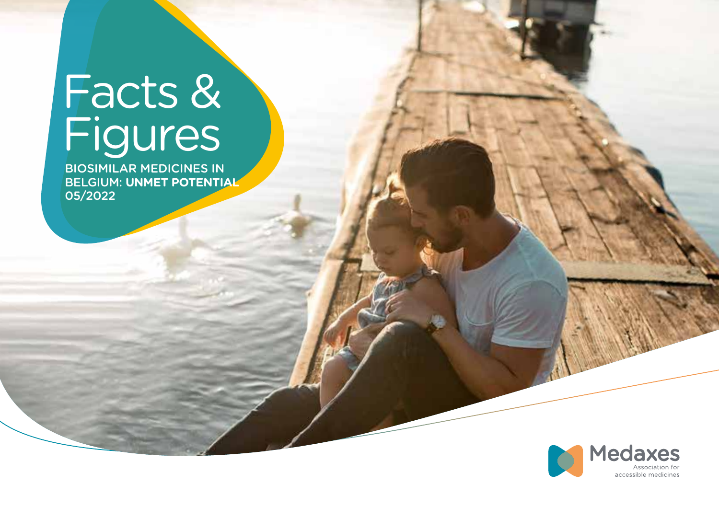# Facts & Figures

BIOSIMILAR MEDICINES IN BELGIUM: **UNMET POTENTIAL** 05/2022

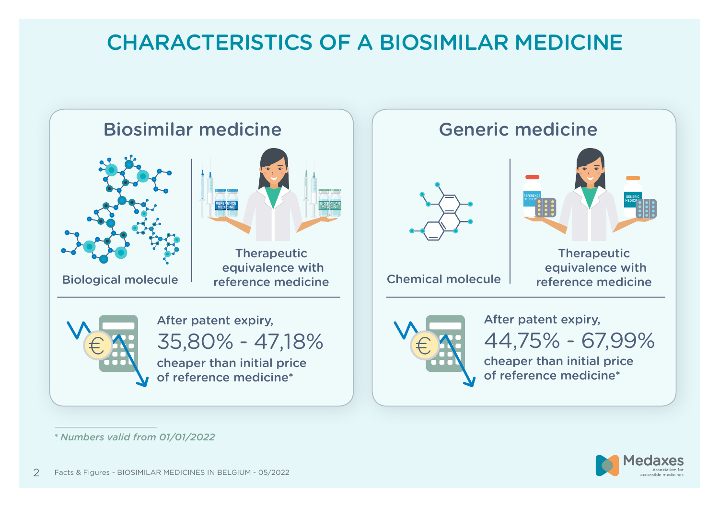# CHARACTERISTICS OF A BIOSIMILAR MEDICINE



*<sup>\*</sup>Numbers valid from 01/01/2022*

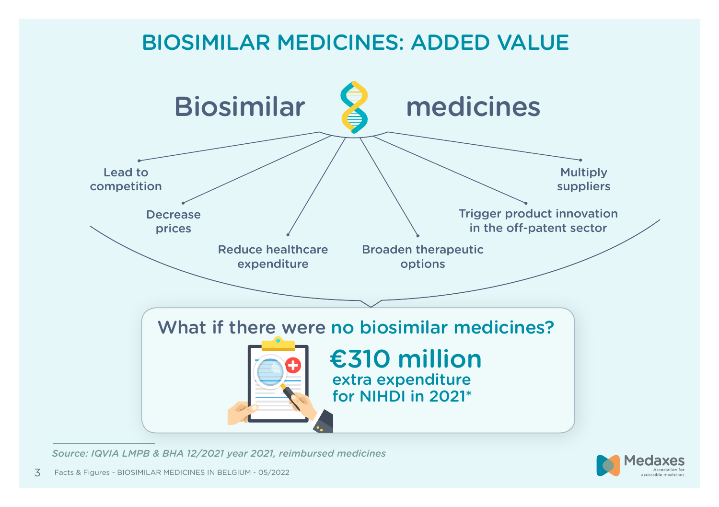

*Source: IQVIA LMPB & BHA 12/2021 year 2021, reimbursed medicines*

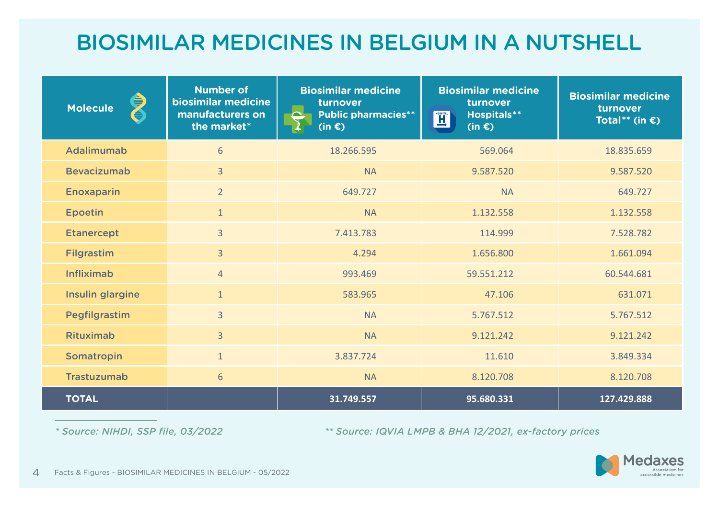# BIOSIMILAR MEDICINES IN BELGIUM IN A NUTSHELL

| ⊜<br><b>Molecule</b><br>ð | <b>Number of</b><br>biosimilar medicine<br>manufacturers on<br>the market* | <b>Biosimilar medicine</b><br>turnover<br><b>Public pharmacies**</b><br>$(in \in)$ | <b>Biosimilar medicine</b><br>turnover<br><b>Hospitals**</b><br><b>HOSPITAL</b><br>$(in \infty)$ | <b>Biosimilar medicine</b><br>turnover<br>Total** (in $\epsilon$ ) |
|---------------------------|----------------------------------------------------------------------------|------------------------------------------------------------------------------------|--------------------------------------------------------------------------------------------------|--------------------------------------------------------------------|
| Adalimumab                | 6                                                                          | 18.266.595                                                                         | 569.064                                                                                          | 18.835.659                                                         |
| <b>Bevacizumab</b>        | $\overline{3}$                                                             | <b>NA</b>                                                                          | 9.587.520                                                                                        | 9.587.520                                                          |
| <b>Enoxaparin</b>         | $\overline{2}$                                                             | 649.727                                                                            | <b>NA</b>                                                                                        | 649.727                                                            |
| <b>Epoetin</b>            | $\mathbf{1}$                                                               | <b>NA</b>                                                                          | 1.132.558                                                                                        | 1.132.558                                                          |
| <b>Etanercept</b>         | $\overline{3}$                                                             | 7.413.783                                                                          | 114.999                                                                                          | 7.528.782                                                          |
| Filgrastim                | $\overline{3}$                                                             | 4.294                                                                              | 1.656.800                                                                                        | 1.661.094                                                          |
| <b>Infliximab</b>         | $\overline{4}$                                                             | 993.469                                                                            | 59.551.212                                                                                       | 60.544.681                                                         |
| Insulin glargine          | $\mathbf{1}$                                                               | 583.965                                                                            | 47.106                                                                                           | 631.071                                                            |
| Pegfilgrastim             | $\overline{3}$                                                             | <b>NA</b>                                                                          | 5.767.512                                                                                        | 5.767.512                                                          |
| <b>Rituximab</b>          | $\overline{3}$                                                             | <b>NA</b>                                                                          | 9.121.242                                                                                        | 9.121.242                                                          |
| Somatropin                | $\mathbf{1}$                                                               | 3.837.724                                                                          | 11.610                                                                                           | 3.849.334                                                          |
| <b>Trastuzumab</b>        | $6\phantom{1}6$                                                            | <b>NA</b>                                                                          | 8.120.708                                                                                        | 8.120.708                                                          |
| <b>TOTAL</b>              |                                                                            | 31.749.557                                                                         | 95.680.331                                                                                       | 127.429.888                                                        |

 *\* Source: NIHDI, SSP file, 03/2022 \*\* Source: IQVIA LMPB & BHA 12/2021, ex-factory prices* 

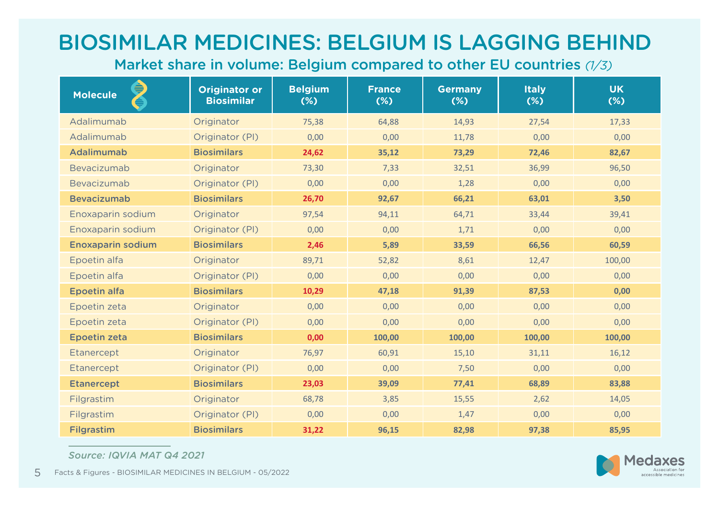# BIOSIMILAR MEDICINES: BELGIUM IS LAGGING BEHIND

Market share in volume: Belgium compared to other EU countries *(1/3)*

| ♦<br><b>Molecule</b><br>È) | <b>Originator or</b><br><b>Biosimilar</b> | <b>Belgium</b><br>$(\%)$ | <b>France</b><br>$(*)$ | <b>Germany</b><br>$(*)$ | <b>Italy</b><br>$(\%)$ | <b>UK</b><br>$(\%)$ |
|----------------------------|-------------------------------------------|--------------------------|------------------------|-------------------------|------------------------|---------------------|
| Adalimumab                 | Originator                                | 75,38                    | 64,88                  | 14,93                   | 27,54                  | 17,33               |
| Adalimumab                 | Originator (PI)                           | 0,00                     | 0,00                   | 11,78                   | 0,00                   | 0,00                |
| Adalimumab                 | <b>Biosimilars</b>                        | 24,62                    | 35,12                  | 73,29                   | 72,46                  | 82,67               |
| Bevacizumab                | Originator                                | 73,30                    | 7,33                   | 32,51                   | 36,99                  | 96,50               |
| Bevacizumab                | Originator (PI)                           | 0,00                     | 0,00                   | 1,28                    | 0,00                   | 0,00                |
| <b>Bevacizumab</b>         | <b>Biosimilars</b>                        | 26,70                    | 92,67                  | 66,21                   | 63,01                  | 3,50                |
| Enoxaparin sodium          | Originator                                | 97,54                    | 94,11                  | 64,71                   | 33,44                  | 39,41               |
| Enoxaparin sodium          | Originator (PI)                           | 0,00                     | 0,00                   | 1,71                    | 0,00                   | 0,00                |
| <b>Enoxaparin sodium</b>   | <b>Biosimilars</b>                        | 2,46                     | 5,89                   | 33,59                   | 66,56                  | 60,59               |
| Epoetin alfa               | Originator                                | 89,71                    | 52,82                  | 8,61                    | 12,47                  | 100,00              |
| Epoetin alfa               | Originator (PI)                           | 0,00                     | 0,00                   | 0,00                    | 0,00                   | 0,00                |
| <b>Epoetin alfa</b>        | <b>Biosimilars</b>                        | 10,29                    | 47,18                  | 91,39                   | 87,53                  | 0,00                |
| Epoetin zeta               | Originator                                | 0,00                     | 0,00                   | 0,00                    | 0,00                   | 0,00                |
| Epoetin zeta               | Originator (PI)                           | 0,00                     | 0,00                   | 0,00                    | 0,00                   | 0,00                |
| <b>Epoetin zeta</b>        | <b>Biosimilars</b>                        | 0,00                     | 100,00                 | 100,00                  | 100,00                 | 100,00              |
| Etanercept                 | Originator                                | 76,97                    | 60,91                  | 15,10                   | 31,11                  | 16,12               |
| Etanercept                 | Originator (PI)                           | 0,00                     | 0,00                   | 7,50                    | 0,00                   | 0,00                |
| <b>Etanercept</b>          | <b>Biosimilars</b>                        | 23,03                    | 39,09                  | 77,41                   | 68,89                  | 83,88               |
| Filgrastim                 | Originator                                | 68,78                    | 3,85                   | 15,55                   | 2,62                   | 14,05               |
| Filgrastim                 | Originator (PI)                           | 0,00                     | 0,00                   | 1,47                    | 0,00                   | 0,00                |
| <b>Filgrastim</b>          | <b>Biosimilars</b>                        | 31,22                    | 96,15                  | 82,98                   | 97,38                  | 85,95               |

*Source: IQVIA MAT Q4 2021*



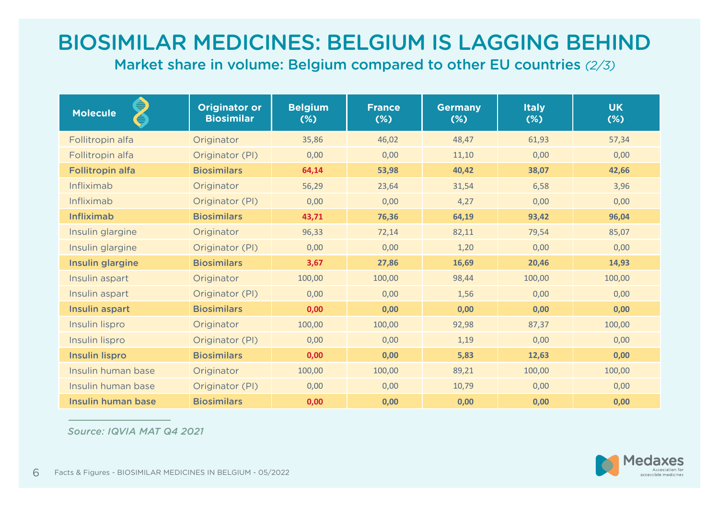# BIOSIMILAR MEDICINES: BELGIUM IS LAGGING BEHIND

Market share in volume: Belgium compared to other EU countries *(2/3)*

| ⊜<br><b>Molecule</b><br>å | <b>Originator or</b><br><b>Biosimilar</b> | <b>Belgium</b><br>$(*)$ | <b>France</b><br>$(*)$ | <b>Germany</b><br>$(*)$ | <b>Italy</b><br>$(*)$ | <b>UK</b><br>$(\%)$ |
|---------------------------|-------------------------------------------|-------------------------|------------------------|-------------------------|-----------------------|---------------------|
| Follitropin alfa          | Originator                                | 35,86                   | 46,02                  | 48,47                   | 61,93                 | 57,34               |
| Follitropin alfa          | Originator (PI)                           | 0,00                    | 0,00                   | 11,10                   | 0,00                  | 0,00                |
| <b>Follitropin alfa</b>   | <b>Biosimilars</b>                        | 64,14                   | 53,98                  | 40,42                   | 38,07                 | 42,66               |
| <b>Infliximab</b>         | Originator                                | 56,29                   | 23,64                  | 31,54                   | 6,58                  | 3,96                |
| Infliximab                | Originator (PI)                           | 0,00                    | 0,00                   | 4,27                    | 0,00                  | 0,00                |
| <b>Infliximab</b>         | <b>Biosimilars</b>                        | 43,71                   | 76,36                  | 64,19                   | 93,42                 | 96,04               |
| Insulin glargine          | Originator                                | 96,33                   | 72,14                  | 82,11                   | 79,54                 | 85,07               |
| Insulin glargine          | Originator (PI)                           | 0,00                    | 0,00                   | 1,20                    | 0,00                  | 0,00                |
| Insulin glargine          | <b>Biosimilars</b>                        | 3,67                    | 27,86                  | 16,69                   | 20,46                 | 14,93               |
| Insulin aspart            | Originator                                | 100,00                  | 100,00                 | 98,44                   | 100,00                | 100,00              |
| Insulin aspart            | Originator (PI)                           | 0,00                    | 0,00                   | 1,56                    | 0,00                  | 0,00                |
| Insulin aspart            | <b>Biosimilars</b>                        | 0,00                    | 0,00                   | 0,00                    | 0,00                  | 0,00                |
| Insulin lispro            | Originator                                | 100,00                  | 100,00                 | 92,98                   | 87,37                 | 100,00              |
| Insulin lispro            | Originator (PI)                           | 0,00                    | 0.00                   | 1,19                    | 0,00                  | 0,00                |
| <b>Insulin lispro</b>     | <b>Biosimilars</b>                        | 0,00                    | 0,00                   | 5,83                    | 12,63                 | 0,00                |
| Insulin human base        | Originator                                | 100,00                  | 100,00                 | 89,21                   | 100,00                | 100,00              |
| Insulin human base        | Originator (PI)                           | 0,00                    | 0,00                   | 10,79                   | 0,00                  | 0,00                |
| Insulin human base        | <b>Biosimilars</b>                        | 0,00                    | 0,00                   | 0,00                    | 0,00                  | 0,00                |

*Source: IQVIA MAT Q4 2021*

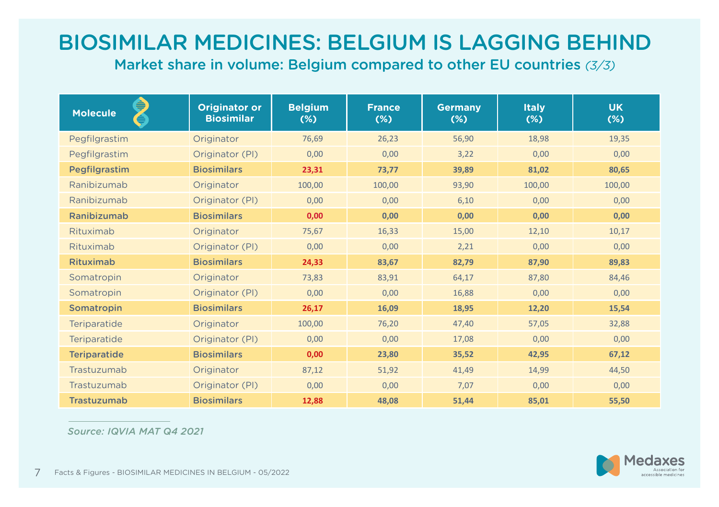# BIOSIMILAR MEDICINES: BELGIUM IS LAGGING BEHIND

Market share in volume: Belgium compared to other EU countries *(3/3)*

| ⊜<br><b>Molecule</b><br>€ | <b>Originator or</b><br><b>Biosimilar</b> | <b>Belgium</b><br>$(*)$ | <b>France</b><br>$(\%)$ | <b>Germany</b><br>$(\%)$ | <b>Italy</b><br>$(*)$ | <b>UK</b><br>$(\%)$ |
|---------------------------|-------------------------------------------|-------------------------|-------------------------|--------------------------|-----------------------|---------------------|
| Pegfilgrastim             | Originator                                | 76,69                   | 26,23                   | 56,90                    | 18,98                 | 19,35               |
| Pegfilgrastim             | Originator (PI)                           | 0,00                    | 0,00                    | 3,22                     | 0,00                  | 0,00                |
| Pegfilgrastim             | <b>Biosimilars</b>                        | 23,31                   | 73,77                   | 39,89                    | 81,02                 | 80,65               |
| Ranibizumab               | Originator                                | 100,00                  | 100,00                  | 93,90                    | 100,00                | 100,00              |
| Ranibizumab               | Originator (PI)                           | 0,00                    | 0,00                    | 6,10                     | 0,00                  | 0,00                |
| Ranibizumab               | <b>Biosimilars</b>                        | 0,00                    | 0,00                    | 0,00                     | 0,00                  | 0,00                |
| Rituximab                 | Originator                                | 75,67                   | 16,33                   | 15,00                    | 12,10                 | 10,17               |
| Rituximab                 | Originator (PI)                           | 0,00                    | 0,00                    | 2,21                     | 0,00                  | 0,00                |
| Rituximab                 | <b>Biosimilars</b>                        | 24,33                   | 83,67                   | 82,79                    | 87,90                 | 89,83               |
| Somatropin                | Originator                                | 73,83                   | 83,91                   | 64,17                    | 87,80                 | 84,46               |
| Somatropin                | Originator (PI)                           | 0,00                    | 0,00                    | 16,88                    | 0,00                  | 0,00                |
| Somatropin                | <b>Biosimilars</b>                        | 26,17                   | 16,09                   | 18,95                    | 12,20                 | 15,54               |
| Teriparatide              | Originator                                | 100,00                  | 76,20                   | 47,40                    | 57,05                 | 32,88               |
| <b>Teriparatide</b>       | Originator (PI)                           | 0,00                    | 0,00                    | 17,08                    | 0,00                  | 0,00                |
| <b>Teriparatide</b>       | <b>Biosimilars</b>                        | 0,00                    | 23,80                   | 35,52                    | 42,95                 | 67,12               |
| Trastuzumab               | Originator                                | 87,12                   | 51,92                   | 41,49                    | 14,99                 | 44,50               |
| Trastuzumab               | Originator (PI)                           | 0,00                    | 0,00                    | 7,07                     | 0,00                  | 0,00                |
| <b>Trastuzumab</b>        | <b>Biosimilars</b>                        | 12,88                   | 48,08                   | 51,44                    | 85,01                 | 55,50               |

 *Source: IQVIA MAT Q4 2021*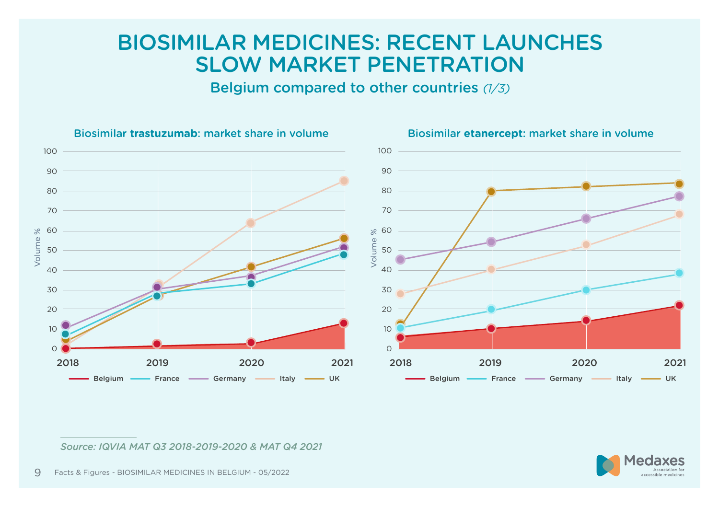#### BIOSIMILAR MEDICINES: RECENT LAUNCHES SLOW MARKET PENETRATION

Belgium compared to other countries *(1/3)*



Biosimilar **trastuzumab**: market share in volume Biosimilar **etanercept**: market share in volume

*Source: IQVIA MAT Q3 2018-2019-2020 & MAT Q4 2021*

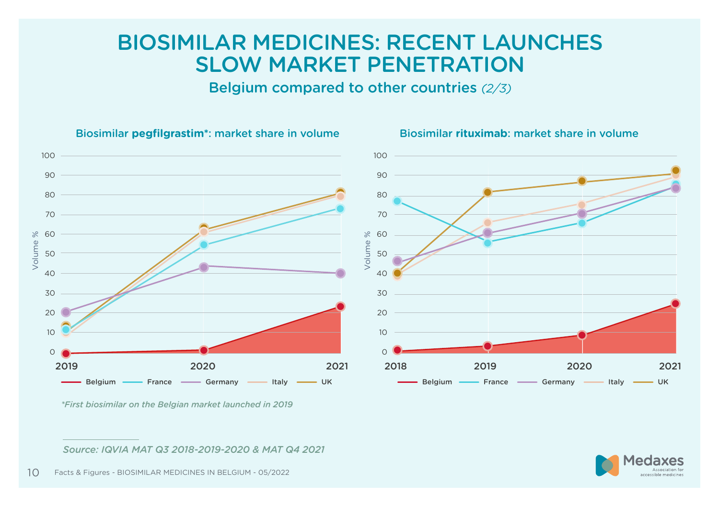#### BIOSIMILAR MEDICINES: RECENT LAUNCHES SLOW MARKET PENETRATION

Belgium compared to other countries *(2/3)*



Biosimilar **pegfilgrastim\***: market share in volume Biosimilar **rituximab**: market share in volume

*Source: IQVIA MAT Q3 2018-2019-2020 & MAT Q4 2021*



*<sup>\*</sup>First biosimilar on the Belgian market launched in 2019*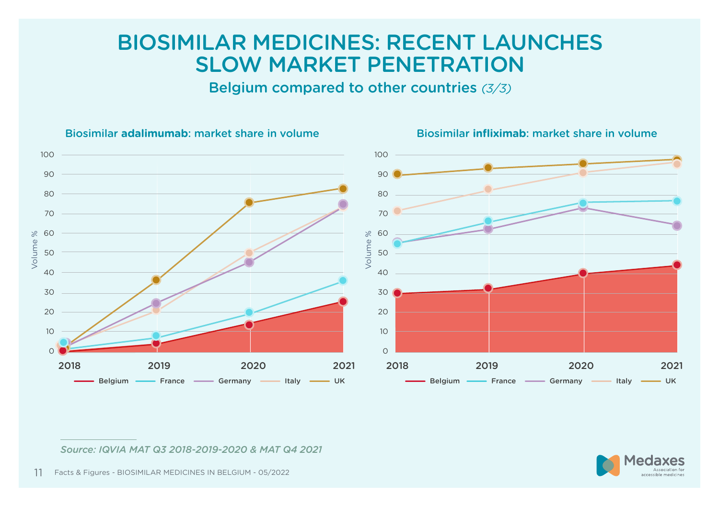#### BIOSIMILAR MEDICINES: RECENT LAUNCHES SLOW MARKET PENETRATION

Belgium compared to other countries *(3/3)*



Biosimilar **adalimumab**: market share in volume Biosimilar **infliximab**: market share in volume

*Source: IQVIA MAT Q3 2018-2019-2020 & MAT Q4 2021*



Facts & Figures - BIOSIMILAR MEDICINES IN BELGIUM - 05/2022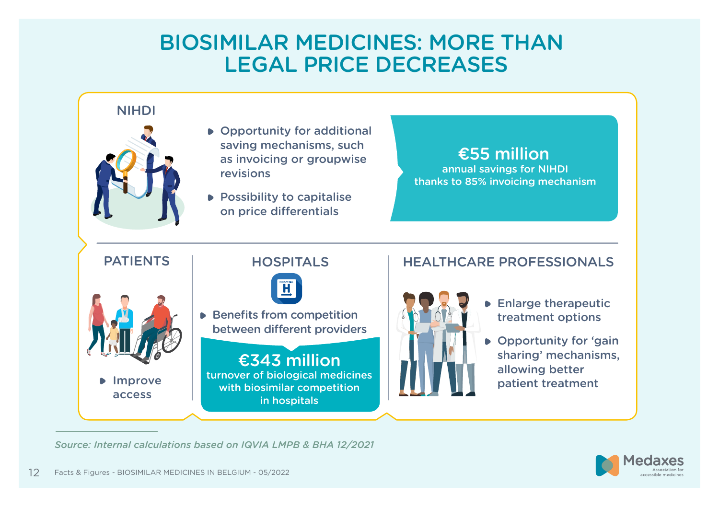#### BIOSIMILAR MEDICINES: MORE THAN LEGAL PRICE DECREASES



*Source: Internal calculations based on IQVIA LMPB & BHA 12/2021*

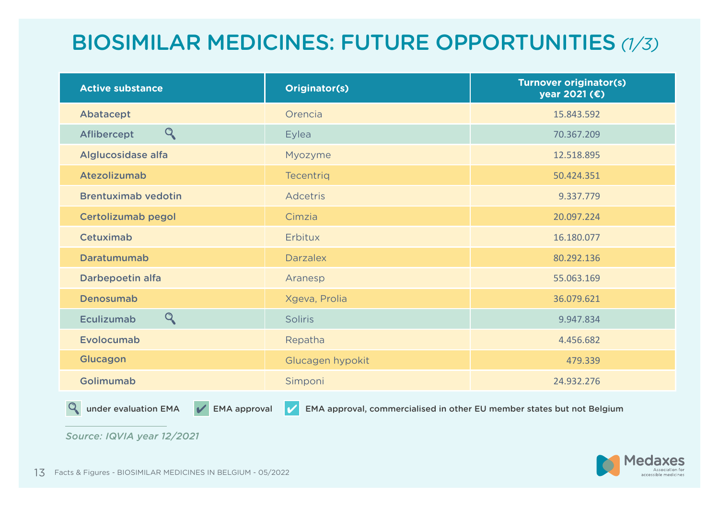# BIOSIMILAR MEDICINES: FUTURE OPPORTUNITIES *(1/3)*

| <b>Active substance</b>     | Originator(s)    | <b>Turnover originator(s)</b><br>year 2021 (€) |
|-----------------------------|------------------|------------------------------------------------|
| Abatacept                   | Orencia          | 15.843.592                                     |
| $\mathsf{Q}$<br>Aflibercept | Eylea            | 70.367.209                                     |
| Alglucosidase alfa          | Myozyme          | 12.518.895                                     |
| Atezolizumab                | <b>Tecentrig</b> | 50.424.351                                     |
| <b>Brentuximab vedotin</b>  | <b>Adcetris</b>  | 9.337.779                                      |
| Certolizumab pegol          | Cimzia           | 20.097.224                                     |
| Cetuximab                   | Erbitux          | 16.180.077                                     |
| Daratumumab                 | <b>Darzalex</b>  | 80.292.136                                     |
| Darbepoetin alfa            | Aranesp          | 55.063.169                                     |
| Denosumab                   | Xgeva, Prolia    | 36.079.621                                     |
| Q<br><b>Eculizumab</b>      | <b>Soliris</b>   | 9.947.834                                      |
| Evolocumab                  | Repatha          | 4.456.682                                      |
| Glucagon                    | Glucagen hypokit | 479.339                                        |
| Golimumab                   | Simponi          | 24.932.276                                     |

 $Q_{\rm c}$ 

under evaluation EMA  $\blacktriangledown$  EMA approval  $\blacktriangledown$  EMA approval, commercialised in other EU member states but not Belgium

*Source: IQVIA year 12/2021*

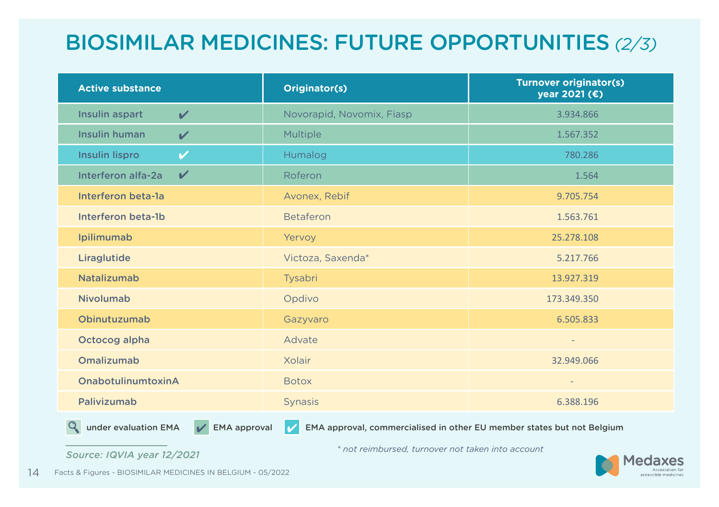# BIOSIMILAR MEDICINES: FUTURE OPPORTUNITIES *(2/3)*

| <b>Active substance</b>                                                                                                          | Originator(s)             | <b>Turnover originator(s)</b><br>year 2021 (€) |  |  |
|----------------------------------------------------------------------------------------------------------------------------------|---------------------------|------------------------------------------------|--|--|
| Insulin aspart<br>$\boldsymbol{\mathcal{U}}$                                                                                     | Novorapid, Novomix, Fiasp | 3.934.866                                      |  |  |
| <b>Insulin human</b><br>$\boldsymbol{\mathcal{U}}$                                                                               | Multiple                  | 1.567.352                                      |  |  |
| <b>Insulin lispro</b><br>✓                                                                                                       | Humalog                   | 780.286                                        |  |  |
| $\boldsymbol{\mathcal{U}}$<br>Interferon alfa-2a                                                                                 | Roferon                   | 1.564                                          |  |  |
| Interferon beta-la                                                                                                               | Avonex, Rebif             | 9.705.754                                      |  |  |
| Interferon beta-1b                                                                                                               | <b>Betaferon</b>          | 1.563.761                                      |  |  |
| Ipilimumab                                                                                                                       | Yervoy                    | 25.278.108                                     |  |  |
| Liraglutide                                                                                                                      | Victoza, Saxenda*         | 5.217.766                                      |  |  |
| <b>Natalizumab</b>                                                                                                               | Tysabri                   | 13.927.319                                     |  |  |
| <b>Nivolumab</b>                                                                                                                 | Opdivo                    | 173.349.350                                    |  |  |
| Obinutuzumab                                                                                                                     | Gazyvaro                  | 6.505.833                                      |  |  |
| Octocog alpha                                                                                                                    | Advate                    |                                                |  |  |
| Omalizumab                                                                                                                       | Xolair                    | 32.949.066                                     |  |  |
| OnabotulinumtoxinA                                                                                                               | <b>Botox</b>              | $\overline{a}$                                 |  |  |
| Palivizumab                                                                                                                      | <b>Synasis</b>            | 6.388.196                                      |  |  |
| Q<br><b>EMA</b> approval<br>under evaluation EMA<br>EMA approval, commercialised in other EU member states but not Belgium<br>J. |                           |                                                |  |  |

*Source: IQVIA year 12/2021 \* not reimbursed, turnover not taken into account*



14 Facts & Figures - BIOSIMILAR MEDICINES IN BELGIUM - 05/2022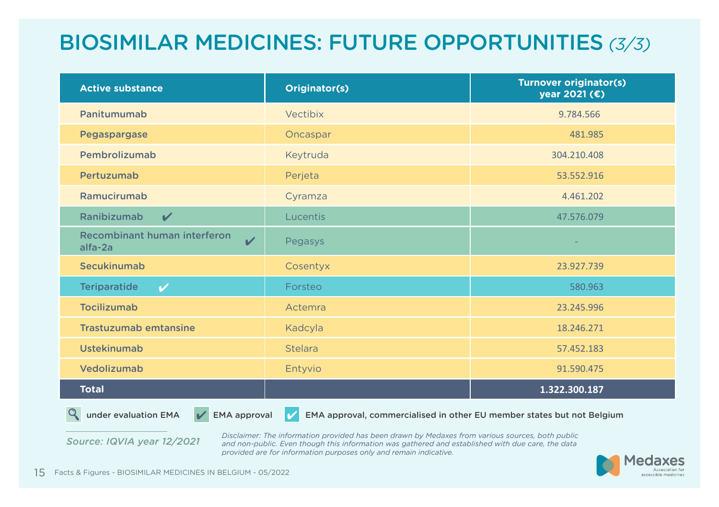# BIOSIMILAR MEDICINES: FUTURE OPPORTUNITIES *(3/3)*

| <b>Active substance</b>                                 | Originator(s)  | <b>Turnover originator(s)</b><br>year 2021 (€) |
|---------------------------------------------------------|----------------|------------------------------------------------|
| Panitumumab                                             | Vectibix       | 9.784.566                                      |
| Pegaspargase                                            | Oncaspar       | 481.985                                        |
| Pembrolizumab                                           | Keytruda       | 304.210.408                                    |
| Pertuzumab                                              | Perjeta        | 53.552.916                                     |
| Ramucirumab                                             | Cyramza        | 4.461.202                                      |
| Ranibizumab<br>$\boldsymbol{\mathcal{U}}$               | Lucentis       | 47.576.079                                     |
| Recombinant human interferon<br>$\mathbf{v}$<br>alfa-2a | Pegasys        |                                                |
| Secukinumab                                             | Cosentyx       | 23.927.739                                     |
| <b>Teriparatide</b><br>$\boldsymbol{\mathcal{U}}$       | Forsteo        | 580.963                                        |
| <b>Tocilizumab</b>                                      | Actemra        | 23.245.996                                     |
| <b>Trastuzumab emtansine</b>                            | Kadcyla        | 18.246.271                                     |
| <b>Ustekinumab</b>                                      | <b>Stelara</b> | 57.452.183                                     |
| Vedolizumab                                             | Entyvio        | 91.590.475                                     |
| <b>Total</b>                                            |                | 1.322.300.187                                  |
| <b>Contract Contract Contract</b>                       |                |                                                |

 $\heartsuit$  under evaluation EMA  $\vee$  EMA approval  $\vee$  EMA approval, commercialised in other EU member states but not Belgium

*Source: IQVIA year 12/2021*

*Disclaimer: The information provided has been drawn by Medaxes from various sources, both public and non-public. Even though this information was gathered and established with due care, the data provided are for information purposes only and remain indicative.*

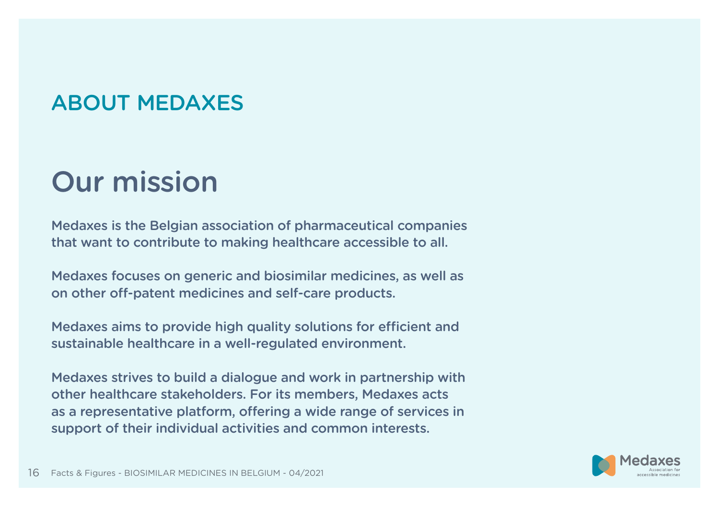# ABOUT MEDAXES

# Our mission

Medaxes is the Belgian association of pharmaceutical companies that want to contribute to making healthcare accessible to all.

Medaxes focuses on generic and biosimilar medicines, as well as on other off-patent medicines and self-care products.

Medaxes aims to provide high quality solutions for efficient and sustainable healthcare in a well-regulated environment.

Medaxes strives to build a dialogue and work in partnership with other healthcare stakeholders. For its members, Medaxes acts as a representative platform, offering a wide range of services in support of their individual activities and common interests.